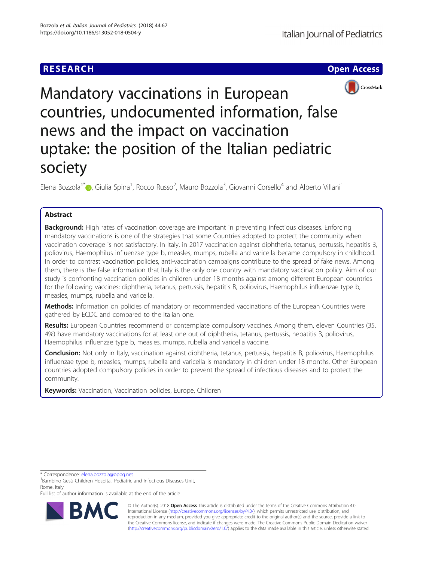



# Mandatory vaccinations in European countries, undocumented information, false news and the impact on vaccination uptake: the position of the Italian pediatric society

Elena Bozzola<sup>1[\\*](http://orcid.org/0000-0003-2586-019X)</sup> $\bm{\odot}$ , Giulia Spina<sup>1</sup>, Rocco Russo<sup>2</sup>, Mauro Bozzola<sup>3</sup>, Giovanni Corsello<sup>4</sup> and Alberto Villani<sup>1</sup>

## Abstract

Background: High rates of vaccination coverage are important in preventing infectious diseases. Enforcing mandatory vaccinations is one of the strategies that some Countries adopted to protect the community when vaccination coverage is not satisfactory. In Italy, in 2017 vaccination against diphtheria, tetanus, pertussis, hepatitis B, poliovirus, Haemophilus influenzae type b, measles, mumps, rubella and varicella became compulsory in childhood. In order to contrast vaccination policies, anti-vaccination campaigns contribute to the spread of fake news. Among them, there is the false information that Italy is the only one country with mandatory vaccination policy. Aim of our study is confronting vaccination policies in children under 18 months against among different European countries for the following vaccines: diphtheria, tetanus, pertussis, hepatitis B, poliovirus, Haemophilus influenzae type b, measles, mumps, rubella and varicella.

Methods: Information on policies of mandatory or recommended vaccinations of the European Countries were gathered by ECDC and compared to the Italian one.

Results: European Countries recommend or contemplate compulsory vaccines. Among them, eleven Countries (35. 4%) have mandatory vaccinations for at least one out of diphtheria, tetanus, pertussis, hepatitis B, poliovirus, Haemophilus influenzae type b, measles, mumps, rubella and varicella vaccine.

Conclusion: Not only in Italy, vaccination against diphtheria, tetanus, pertussis, hepatitis B, poliovirus, Haemophilus influenzae type b, measles, mumps, rubella and varicella is mandatory in children under 18 months. Other European countries adopted compulsory policies in order to prevent the spread of infectious diseases and to protect the community.

Keywords: Vaccination, Vaccination policies, Europe, Children

\* Correspondence: [elena.bozzola@opbg.net](mailto:elena.bozzola@opbg.net) <sup>1</sup>

<sup>1</sup>Bambino Gesù Children Hospital, Pediatric and Infectious Diseases Unit, Rome, Italy

Full list of author information is available at the end of the article



© The Author(s). 2018 Open Access This article is distributed under the terms of the Creative Commons Attribution 4.0 International License [\(http://creativecommons.org/licenses/by/4.0/](http://creativecommons.org/licenses/by/4.0/)), which permits unrestricted use, distribution, and reproduction in any medium, provided you give appropriate credit to the original author(s) and the source, provide a link to the Creative Commons license, and indicate if changes were made. The Creative Commons Public Domain Dedication waiver [\(http://creativecommons.org/publicdomain/zero/1.0/](http://creativecommons.org/publicdomain/zero/1.0/)) applies to the data made available in this article, unless otherwise stated.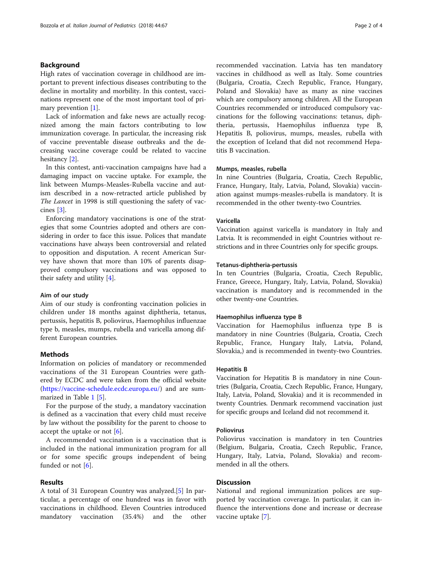## Background

High rates of vaccination coverage in childhood are important to prevent infectious diseases contributing to the decline in mortality and morbility. In this contest, vaccinations represent one of the most important tool of primary prevention [\[1](#page-3-0)].

Lack of information and fake news are actually recognized among the main factors contributing to low immunization coverage. In particular, the increasing risk of vaccine preventable disease outbreaks and the decreasing vaccine coverage could be related to vaccine hesitancy [[2\]](#page-3-0).

In this contest, anti-vaccination campaigns have had a damaging impact on vaccine uptake. For example, the link between Mumps-Measles-Rubella vaccine and autism described in a now-retracted article published by The Lancet in 1998 is still questioning the safety of vaccines [\[3](#page-3-0)].

Enforcing mandatory vaccinations is one of the strategies that some Countries adopted and others are considering in order to face this issue. Polices that mandate vaccinations have always been controversial and related to opposition and disputation. A recent American Survey have shown that more than 10% of parents disapproved compulsory vaccinations and was opposed to their safety and utility [[4](#page-3-0)].

#### Aim of our study

Aim of our study is confronting vaccination policies in children under 18 months against diphtheria, tetanus, pertussis, hepatitis B, poliovirus, Haemophilus influenzae type b, measles, mumps, rubella and varicella among different European countries.

## Methods

Information on policies of mandatory or recommended vaccinations of the 31 European Countries were gathered by ECDC and were taken from the official website (<https://vaccine-schedule.ecdc.europa.eu/>) and are summarized in Table [1](#page-2-0) [\[5](#page-3-0)].

For the purpose of the study, a mandatory vaccination is defined as a vaccination that every child must receive by law without the possibility for the parent to choose to accept the uptake or not [\[6](#page-3-0)].

A recommended vaccination is a vaccination that is included in the national immunization program for all or for some specific groups independent of being funded or not  $[6]$  $[6]$ .

## Results

A total of 31 European Country was analyzed.[[5\]](#page-3-0) In particular, a percentage of one hundred was in favor with vaccinations in childhood. Eleven Countries introduced mandatory vaccination (35.4%) and the other

recommended vaccination. Latvia has ten mandatory vaccines in childhood as well as Italy. Some countries (Bulgaria, Croatia, Czech Republic, France, Hungary, Poland and Slovakia) have as many as nine vaccines which are compulsory among children. All the European Countries recommended or introduced compulsory vaccinations for the following vaccinations: tetanus, diphtheria, pertussis, Haemophilus influenza type B, Hepatitis B, poliovirus, mumps, measles, rubella with the exception of Iceland that did not recommend Hepatitis B vaccination.

## Mumps, measles, rubella

In nine Countries (Bulgaria, Croatia, Czech Republic, France, Hungary, Italy, Latvia, Poland, Slovakia) vaccination against mumps-measles-rubella is mandatory. It is recommended in the other twenty-two Countries.

## Varicella

Vaccination against varicella is mandatory in Italy and Latvia. It is recommended in eight Countries without restrictions and in three Countries only for specific groups.

#### Tetanus-diphtheria-pertussis

In ten Countries (Bulgaria, Croatia, Czech Republic, France, Greece, Hungary, Italy, Latvia, Poland, Slovakia) vaccination is mandatory and is recommended in the other twenty-one Countries.

#### Haemophilus influenza type B

Vaccination for Haemophilus influenza type B is mandatory in nine Countries (Bulgaria, Croatia, Czech Republic, France, Hungary Italy, Latvia, Poland, Slovakia,) and is recommended in twenty-two Countries.

#### Hepatitis B

Vaccination for Hepatitis B is mandatory in nine Countries (Bulgaria, Croatia, Czech Republic, France, Hungary, Italy, Latvia, Poland, Slovakia) and it is recommended in twenty Countries. Denmark recommend vaccination just for specific groups and Iceland did not recommend it.

## Poliovirus

Poliovirus vaccination is mandatory in ten Countries (Belgium, Bulgaria, Croatia, Czech Republic, France, Hungary, Italy, Latvia, Poland, Slovakia) and recommended in all the others.

## **Discussion**

National and regional immunization polices are supported by vaccination coverage. In particular, it can influence the interventions done and increase or decrease vaccine uptake [\[7](#page-3-0)].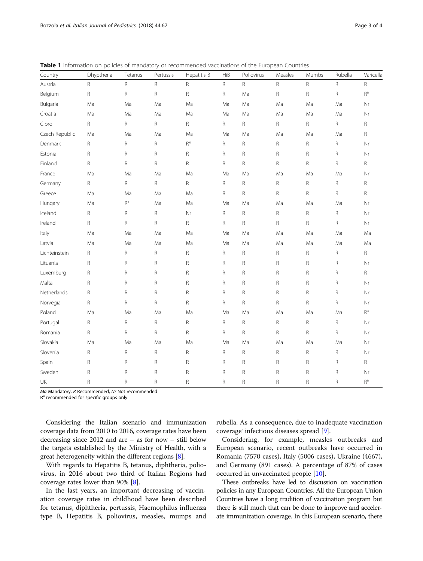| Country        | Dhyptheria   | Tetanus     | Pertussis    | Hepatitis B | HiB       | Poliovirus  | Measles | Mumbs       | Rubella | Varicella               |
|----------------|--------------|-------------|--------------|-------------|-----------|-------------|---------|-------------|---------|-------------------------|
| Austria        | R            | R           | $\mathsf{R}$ | R           | R         | $\mathsf R$ | R       | R           | R       | R.                      |
| Belgium        | $\mathsf R$  | $\mathsf R$ | $\mathsf R$  | ${\sf R}$   | R         | Ma          | R       | $\mathsf R$ | R       | $\mathsf{R}^\mathsf{a}$ |
| Bulgaria       | Ma           | Ma          | Ma           | Ma          | Ma        | Ma          | Ma      | Ma          | Ma      | $\mathsf{Nr}$           |
| Croatia        | Ma           | Ma          | Ma           | Ma          | Ma        | Ma          | Ma      | Ma          | Ma      | $\mathsf{Nr}$           |
| Cipro          | R            | R           | R            | R           | R         | $\mathsf R$ | R       | R           | R       | R                       |
| Czech Republic | Ma           | Ma          | Ma           | Ma          | Ma        | Ma          | Ma      | Ma          | Ma      | R                       |
| Denmark        | $\mathsf R$  | R           | R            | $R^*$       | R         | R           | R       | R           | R       | $\mathsf{Nr}$           |
| Estonia        | $\mathsf R$  | $\mathsf R$ | $\mathsf R$  | R           | R         | $\mathsf R$ | R       | $\mathsf R$ | R       | $\mathsf{Nr}$           |
| Finland        | $\mathsf R$  | R           | R            | ${\sf R}$   | ${\sf R}$ | $\mathsf R$ | R       | R           | R       | $\mathsf R$             |
| France         | Ma           | Ma          | Ma           | Ma          | Ma        | Ma          | Ma      | Ma          | Ma      | Nr                      |
| Germany        | R            | R           | R            | ${\sf R}$   | R         | $\mathsf R$ | R       | $\mathsf R$ | R       | R                       |
| Greece         | Ma           | Ma          | Ma           | Ma          | R         | $\mathsf R$ | R       | $\mathsf R$ | R       | R                       |
| Hungary        | Ma           | $R^*$       | Ma           | Ma          | Ma        | Ma          | Ma      | Ma          | Ma      | Nr                      |
| Iceland        | $\mathsf R$  | R           | R            | Nr          | R         | R           | R       | $\mathsf R$ | R       | $\mathsf{Nr}$           |
| Ireland        | $\mathsf R$  | $\mathsf R$ | $\mathsf R$  | ${\sf R}$   | R         | $\mathsf R$ | R       | $\mathsf R$ | R       | $\mathsf{Nr}$           |
| Italy          | Ma           | Ma          | Ma           | Ma          | Ma        | Ma          | Ma      | Ma          | Ma      | Ma                      |
| Latvia         | Ma           | Ma          | Ma           | Ma          | Ma        | Ma          | Ma      | Ma          | Ma      | Ma                      |
| Lichteinstein  | $\mathsf R$  | R           | $\mathsf R$  | R           | R         | $\mathsf R$ | R       | $\mathsf R$ | R       | R                       |
| Lituania       | $\mathsf R$  | R           | $\mathsf R$  | R           | R         | $\mathsf R$ | R       | $\mathsf R$ | R       | $\mathsf{Nr}$           |
| Luxemburg      | $\mathsf{R}$ | $\mathsf R$ | $\mathsf R$  | R           | R         | $\mathsf R$ | R       | R           | R       | $\mathsf R$             |
| Malta          | $\mathsf R$  | $\mathsf R$ | $\mathsf R$  | R           | R         | $\mathsf R$ | R       | $\mathsf R$ | R       | $\mathsf{Nr}$           |
| Netherlands    | $\mathsf R$  | $\mathsf R$ | $\mathsf R$  | ${\sf R}$   | ${\sf R}$ | $\mathsf R$ | R       | $\mathsf R$ | R       | $\mathsf{Nr}$           |
| Norvegia       | $\mathsf R$  | R           | R            | ${\sf R}$   | ${\sf R}$ | $\mathsf R$ | R       | R           | R       | $\mathsf{Nr}$           |
| Poland         | Ma           | Ma          | Ma           | Ma          | Ma        | Ma          | Ma      | Ma          | Ma      | $\mathsf{R}^\mathsf{a}$ |
| Portugal       | $\mathsf R$  | R           | R            | R           | R         | $\mathsf R$ | R       | R           | R       | $\mathsf{Nr}$           |
| Romania        | $\mathsf R$  | R           | $\mathsf R$  | ${\sf R}$   | ${\sf R}$ | $\mathsf R$ | R       | R           | R       | Nr                      |
| Slovakia       | Ma           | Ma          | Ma           | Ma          | Ma        | Ma          | Ma      | Ma          | Ma      | Nr                      |
| Slovenia       | $\mathsf R$  | $\mathsf R$ | $\mathsf R$  | ${\sf R}$   | ${\sf R}$ | $\mathsf R$ | R       | R           | R       | $\mathsf{Nr}$           |
| Spain          | $\mathsf R$  | R           | R            | R           | R         | $\mathsf R$ | R       | R           | R       | R                       |
| Sweden         | $\mathsf R$  | R           | $\mathsf R$  | R           | R         | $\mathsf R$ | R       | R           | R       | $\mathsf{Nr}$           |
| UK             | $\mathsf R$  | R           | R            | R           | R         | $\mathsf R$ | R       | R           | R       | $R^a$                   |

<span id="page-2-0"></span>Table 1 information on policies of mandatory or recommended vaccinations of the European Countries

Ma Mandatory, R Recommended, Nr Not recommended

R<sup>a</sup> recommended for specific groups only

Considering the Italian scenario and immunization coverage data from 2010 to 2016, coverage rates have been decreasing since 2012 and are – as for now – still below the targets established by the Ministry of Health, with a great heterogeneity within the different regions [\[8](#page-3-0)].

With regards to Hepatitis B, tetanus, diphtheria, poliovirus, in 2016 about two third of Italian Regions had coverage rates lower than 90% [\[8](#page-3-0)].

In the last years, an important decreasing of vaccination coverage rates in childhood have been described for tetanus, diphtheria, pertussis, Haemophilus influenza type B, Hepatitis B, poliovirus, measles, mumps and rubella. As a consequence, due to inadequate vaccination coverage' infectious diseases spread [[9\]](#page-3-0).

Considering, for example, measles outbreaks and European scenario, recent outbreaks have occurred in Romania (7570 cases), Italy (5006 cases), Ukraine (4667), and Germany (891 cases). A percentage of 87% of cases occurred in unvaccinated people [\[10](#page-3-0)].

These outbreaks have led to discussion on vaccination policies in any European Countries. All the European Union Countries have a long tradition of vaccination program but there is still much that can be done to improve and accelerate immunization coverage. In this European scenario, there